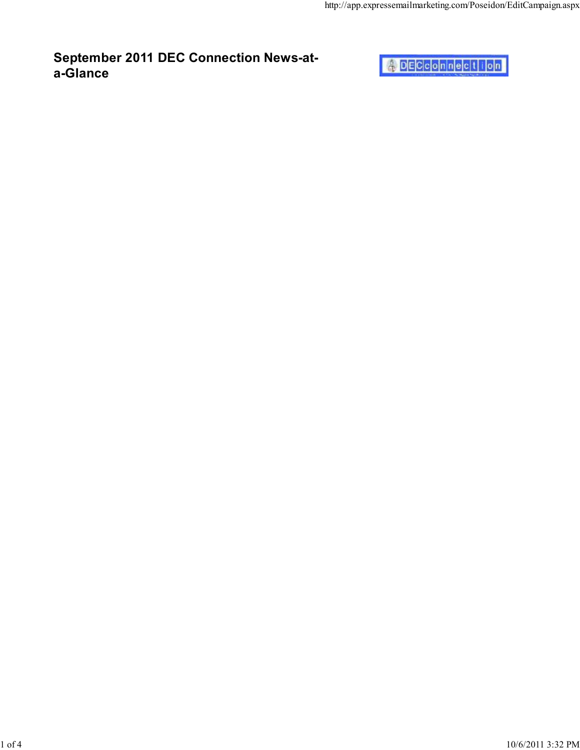

September 2011 DEC Connection News-at-

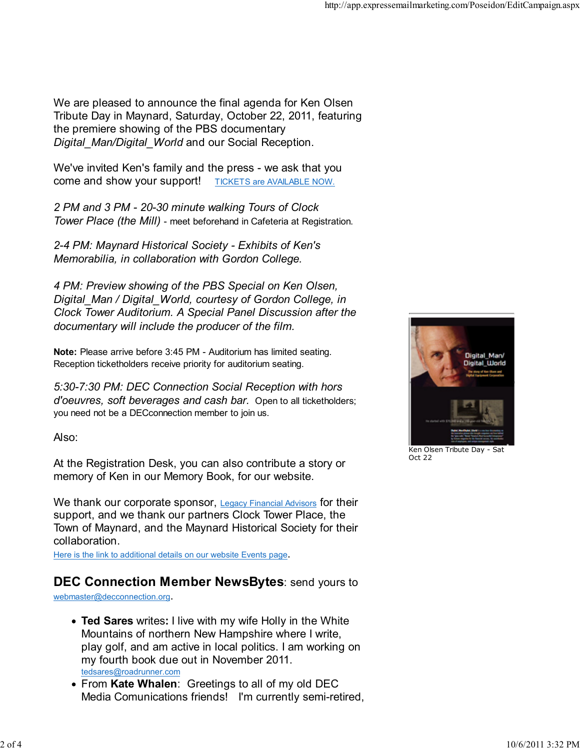We are pleased to announce the final agenda for Ken Olsen Tribute Day in Maynard, Saturday, October 22, 2011, featuring the premiere showing of the PBS documentary Digital Man/Digital World and our Social Reception.

We've invited Ken's family and the press - we ask that you come and show your support! TICKETS are AVAILABLE NOW.

2 PM and 3 PM - 20-30 minute walking Tours of Clock Tower Place (the Mill) - meet beforehand in Cafeteria at Registration.

2-4 PM: Maynard Historical Society - Exhibits of Ken's Memorabilia, in collaboration with Gordon College.

4 PM: Preview showing of the PBS Special on Ken Olsen, Digital Man / Digital World, courtesy of Gordon College, in Clock Tower Auditorium. A Special Panel Discussion after the documentary will include the producer of the film.

Note: Please arrive before 3:45 PM - Auditorium has limited seating. Reception ticketholders receive priority for auditorium seating.

5:30-7:30 PM: DEC Connection Social Reception with hors d'oeuvres, soft beverages and cash bar. Open to all ticketholders; you need not be a DECconnection member to join us.

Also:

At the Registration Desk, you can also contribute a story or memory of Ken in our Memory Book, for our website.

We thank our corporate sponsor, Legacy Financial Advisors for their support, and we thank our partners Clock Tower Place, the Town of Maynard, and the Maynard Historical Society for their collaboration.

Here is the link to additional details on our website Events page.

## DEC Connection Member NewsBytes: send yours to

webmaster@decconnection.org.

- Ted Sares writes: I live with my wife Holly in the White Mountains of northern New Hampshire where I write, play golf, and am active in local politics. I am working on my fourth book due out in November 2011. tedsares@roadrunner.com
- From Kate Whalen: Greetings to all of my old DEC Media Comunications friends! I'm currently semi-retired,



Ken Olsen Tribute Day - Sat Oct 22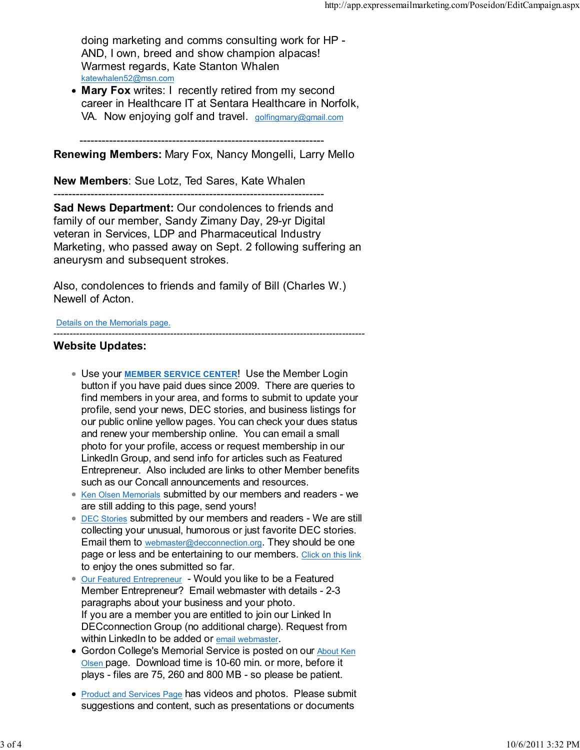doing marketing and comms consulting work for HP - AND, I own, breed and show champion alpacas! Warmest regards, Kate Stanton Whalen katewhalen52@msn.com

• Mary Fox writes: I recently retired from my second career in Healthcare IT at Sentara Healthcare in Norfolk, VA. Now enjoying golf and travel. golfingmary@gmail.com

------------------------------------------------------------------

Renewing Members: Mary Fox, Nancy Mongelli, Larry Mello

New Members: Sue Lotz, Ted Sares, Kate Whalen

------------------------------------------------------------------------- Sad News Department: Our condolences to friends and family of our member, Sandy Zimany Day, 29-yr Digital veteran in Services, LDP and Pharmaceutical Industry Marketing, who passed away on Sept. 2 following suffering an aneurysm and subsequent strokes.

Also, condolences to friends and family of Bill (Charles W.) Newell of Acton.

Details on the Memorials page.

## ------------------------------------------------------------------------------------------------ Website Updates:

- Use your MEMBER SERVICE CENTER! Use the Member Login button if you have paid dues since 2009. There are queries to find members in your area, and forms to submit to update your profile, send your news, DEC stories, and business listings for our public online yellow pages. You can check your dues status and renew your membership online. You can email a small photo for your profile, access or request membership in our LinkedIn Group, and send info for articles such as Featured Entrepreneur. Also included are links to other Member benefits such as our Concall announcements and resources.
- Ken Olsen Memorials submitted by our members and readers we are still adding to this page, send yours!
- **DEC Stories submitted by our members and readers We are still** collecting your unusual, humorous or just favorite DEC stories. Email them to webmaster@decconnection.org. They should be one page or less and be entertaining to our members. Click on this link to enjoy the ones submitted so far.
- **Our Featured Entrepreneur** Would you like to be a Featured Member Entrepreneur? Email webmaster with details - 2-3 paragraphs about your business and your photo. If you are a member you are entitled to join our Linked In DECconnection Group (no additional charge). Request from within LinkedIn to be added or email webmaster.
- Gordon College's Memorial Service is posted on our About Ken Olsen page. Download time is 10-60 min. or more, before it plays - files are 75, 260 and 800 MB - so please be patient.
- Product and Services Page has videos and photos. Please submit suggestions and content, such as presentations or documents